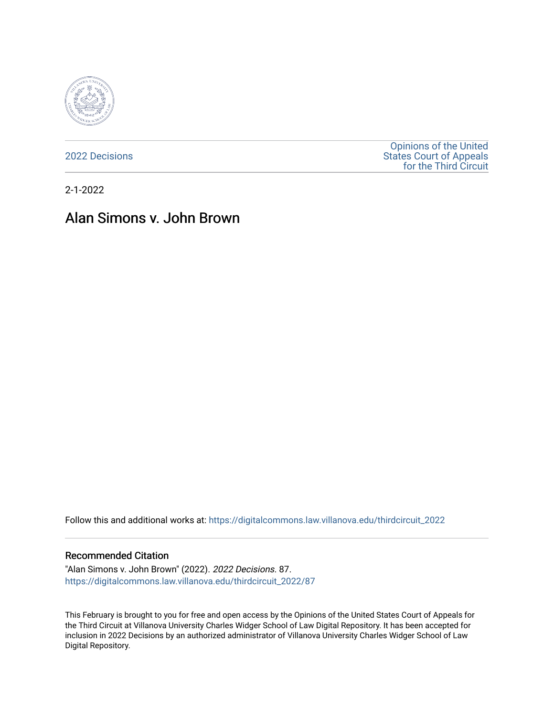

[2022 Decisions](https://digitalcommons.law.villanova.edu/thirdcircuit_2022)

[Opinions of the United](https://digitalcommons.law.villanova.edu/thirdcircuit)  [States Court of Appeals](https://digitalcommons.law.villanova.edu/thirdcircuit)  [for the Third Circuit](https://digitalcommons.law.villanova.edu/thirdcircuit) 

2-1-2022

# Alan Simons v. John Brown

Follow this and additional works at: [https://digitalcommons.law.villanova.edu/thirdcircuit\\_2022](https://digitalcommons.law.villanova.edu/thirdcircuit_2022?utm_source=digitalcommons.law.villanova.edu%2Fthirdcircuit_2022%2F87&utm_medium=PDF&utm_campaign=PDFCoverPages) 

#### Recommended Citation

"Alan Simons v. John Brown" (2022). 2022 Decisions. 87. [https://digitalcommons.law.villanova.edu/thirdcircuit\\_2022/87](https://digitalcommons.law.villanova.edu/thirdcircuit_2022/87?utm_source=digitalcommons.law.villanova.edu%2Fthirdcircuit_2022%2F87&utm_medium=PDF&utm_campaign=PDFCoverPages)

This February is brought to you for free and open access by the Opinions of the United States Court of Appeals for the Third Circuit at Villanova University Charles Widger School of Law Digital Repository. It has been accepted for inclusion in 2022 Decisions by an authorized administrator of Villanova University Charles Widger School of Law Digital Repository.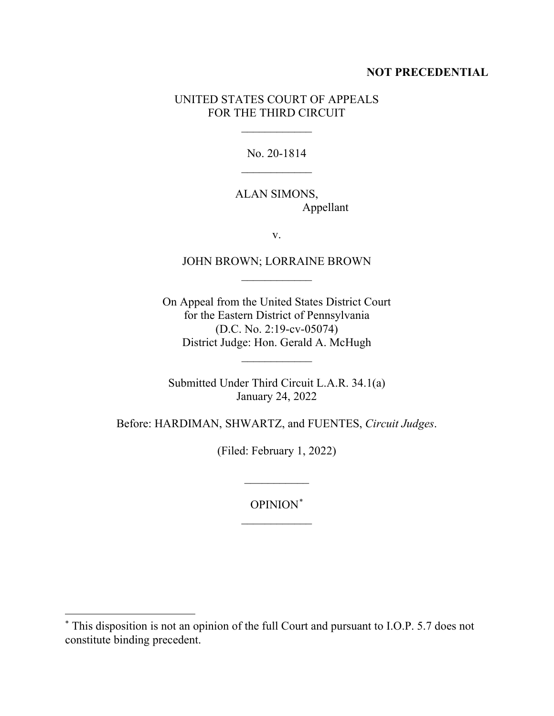## **NOT PRECEDENTIAL**

## UNITED STATES COURT OF APPEALS FOR THE THIRD CIRCUIT

 $\frac{1}{2}$ 

No. 20-1814  $\frac{1}{2}$ 

## ALAN SIMONS, Appellant

v.

# JOHN BROWN; LORRAINE BROWN  $\overline{\phantom{a}}$

On Appeal from the United States District Court for the Eastern District of Pennsylvania (D.C. No. 2:19-cv-05074) District Judge: Hon. Gerald A. McHugh

Submitted Under Third Circuit L.A.R. 34.1(a) January 24, 2022

 $\frac{1}{2}$ 

Before: HARDIMAN, SHWARTZ, and FUENTES, *Circuit Judges*.

(Filed: February 1, 2022)

 $\overline{\phantom{a}}$ 

OPINION\*  $\frac{1}{2}$ 

<sup>\*</sup> This disposition is not an opinion of the full Court and pursuant to I.O.P. 5.7 does not constitute binding precedent.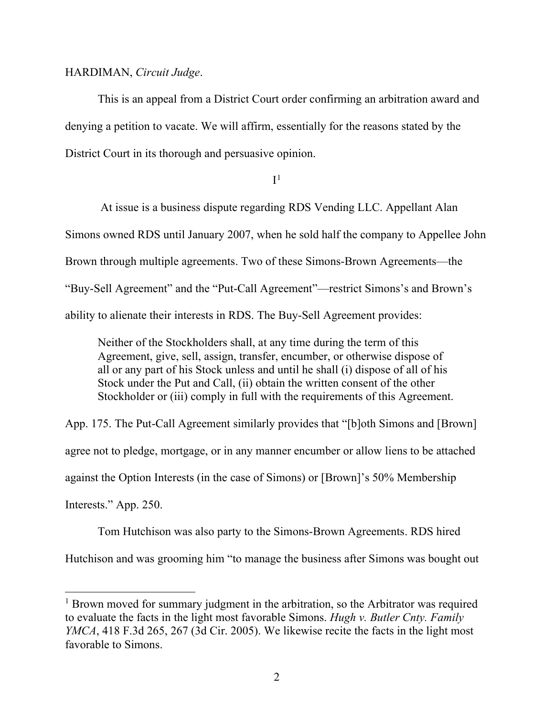#### HARDIMAN, *Circuit Judge*.

This is an appeal from a District Court order confirming an arbitration award and denying a petition to vacate. We will affirm, essentially for the reasons stated by the District Court in its thorough and persuasive opinion.

 $I<sup>1</sup>$ 

At issue is a business dispute regarding RDS Vending LLC. Appellant Alan Simons owned RDS until January 2007, when he sold half the company to Appellee John Brown through multiple agreements. Two of these Simons-Brown Agreements—the "Buy-Sell Agreement" and the "Put-Call Agreement"—restrict Simons's and Brown's ability to alienate their interests in RDS. The Buy-Sell Agreement provides:

Neither of the Stockholders shall, at any time during the term of this Agreement, give, sell, assign, transfer, encumber, or otherwise dispose of all or any part of his Stock unless and until he shall (i) dispose of all of his Stock under the Put and Call, (ii) obtain the written consent of the other Stockholder or (iii) comply in full with the requirements of this Agreement.

App. 175. The Put-Call Agreement similarly provides that "[b]oth Simons and [Brown] agree not to pledge, mortgage, or in any manner encumber or allow liens to be attached against the Option Interests (in the case of Simons) or [Brown]'s 50% Membership Interests." App. 250.

Tom Hutchison was also party to the Simons-Brown Agreements. RDS hired Hutchison and was grooming him "to manage the business after Simons was bought out

<sup>&</sup>lt;sup>1</sup> Brown moved for summary judgment in the arbitration, so the Arbitrator was required to evaluate the facts in the light most favorable Simons. *Hugh v. Butler Cnty. Family YMCA*, 418 F.3d 265, 267 (3d Cir. 2005). We likewise recite the facts in the light most favorable to Simons.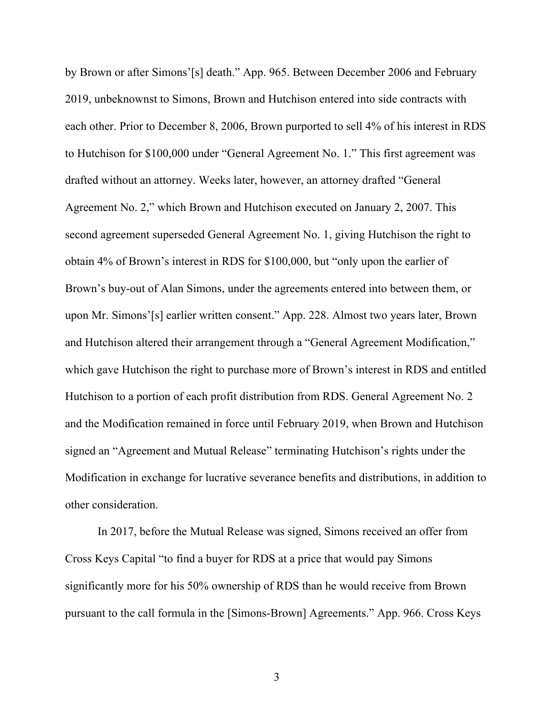by Brown or after Simons'[s] death." App. 965. Between December 2006 and February 2019, unbeknownst to Simons, Brown and Hutchison entered into side contracts with each other. Prior to December 8, 2006, Brown purported to sell 4% of his interest in RDS to Hutchison for \$100,000 under "General Agreement No. 1." This first agreement was drafted without an attorney. Weeks later, however, an attorney drafted "General Agreement No. 2," which Brown and Hutchison executed on January 2, 2007. This second agreement superseded General Agreement No. 1, giving Hutchison the right to obtain 4% of Brown's interest in RDS for \$100,000, but "only upon the earlier of Brown's buy-out of Alan Simons, under the agreements entered into between them, or upon Mr. Simons'[s] earlier written consent." App. 228. Almost two years later, Brown and Hutchison altered their arrangement through a "General Agreement Modification," which gave Hutchison the right to purchase more of Brown's interest in RDS and entitled Hutchison to a portion of each profit distribution from RDS. General Agreement No. 2 and the Modification remained in force until February 2019, when Brown and Hutchison signed an "Agreement and Mutual Release" terminating Hutchison's rights under the Modification in exchange for lucrative severance benefits and distributions, in addition to other consideration.

In 2017, before the Mutual Release was signed, Simons received an offer from Cross Keys Capital "to find a buyer for RDS at a price that would pay Simons significantly more for his 50% ownership of RDS than he would receive from Brown pursuant to the call formula in the [Simons-Brown] Agreements." App. 966. Cross Keys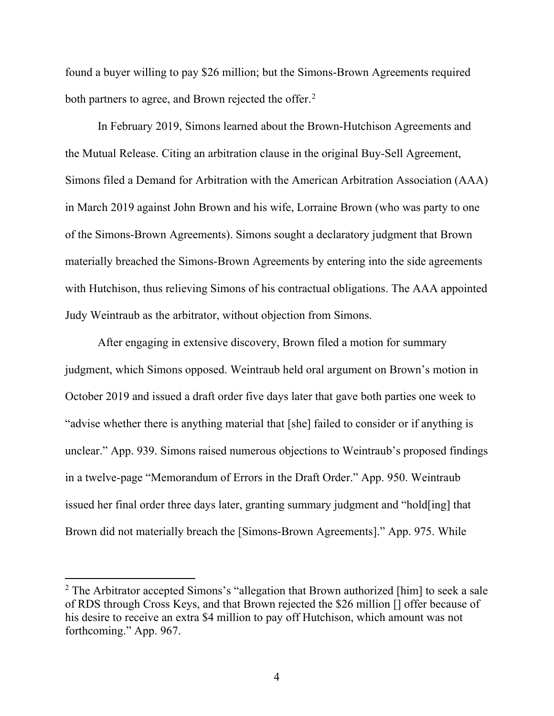found a buyer willing to pay \$26 million; but the Simons-Brown Agreements required both partners to agree, and Brown rejected the offer.<sup>2</sup>

In February 2019, Simons learned about the Brown-Hutchison Agreements and the Mutual Release. Citing an arbitration clause in the original Buy-Sell Agreement, Simons filed a Demand for Arbitration with the American Arbitration Association (AAA) in March 2019 against John Brown and his wife, Lorraine Brown (who was party to one of the Simons-Brown Agreements). Simons sought a declaratory judgment that Brown materially breached the Simons-Brown Agreements by entering into the side agreements with Hutchison, thus relieving Simons of his contractual obligations. The AAA appointed Judy Weintraub as the arbitrator, without objection from Simons.

After engaging in extensive discovery, Brown filed a motion for summary judgment, which Simons opposed. Weintraub held oral argument on Brown's motion in October 2019 and issued a draft order five days later that gave both parties one week to "advise whether there is anything material that [she] failed to consider or if anything is unclear." App. 939. Simons raised numerous objections to Weintraub's proposed findings in a twelve-page "Memorandum of Errors in the Draft Order." App. 950. Weintraub issued her final order three days later, granting summary judgment and "hold[ing] that Brown did not materially breach the [Simons-Brown Agreements]." App. 975. While

<sup>&</sup>lt;sup>2</sup> The Arbitrator accepted Simons's "allegation that Brown authorized [him] to seek a sale of RDS through Cross Keys, and that Brown rejected the \$26 million [] offer because of his desire to receive an extra \$4 million to pay off Hutchison, which amount was not forthcoming." App. 967.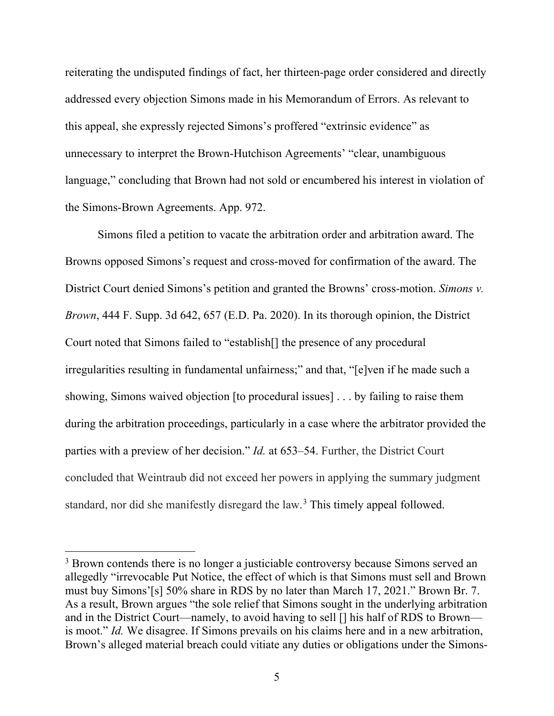reiterating the undisputed findings of fact, her thirteen-page order considered and directly addressed every objection Simons made in his Memorandum of Errors. As relevant to this appeal, she expressly rejected Simons's proffered "extrinsic evidence" as unnecessary to interpret the Brown-Hutchison Agreements' "clear, unambiguous language," concluding that Brown had not sold or encumbered his interest in violation of the Simons-Brown Agreements. App. 972.

Simons filed a petition to vacate the arbitration order and arbitration award. The Browns opposed Simons's request and cross-moved for confirmation of the award. The District Court denied Simons's petition and granted the Browns' cross-motion. *Simons v. Brown*, 444 F. Supp. 3d 642, 657 (E.D. Pa. 2020). In its thorough opinion, the District Court noted that Simons failed to "establish[] the presence of any procedural irregularities resulting in fundamental unfairness;" and that, "[e]ven if he made such a showing, Simons waived objection [to procedural issues] . . . by failing to raise them during the arbitration proceedings, particularly in a case where the arbitrator provided the parties with a preview of her decision." *Id.* at 653–54. Further, the District Court concluded that Weintraub did not exceed her powers in applying the summary judgment standard, nor did she manifestly disregard the law.<sup>3</sup> This timely appeal followed.

<sup>&</sup>lt;sup>3</sup> Brown contends there is no longer a justiciable controversy because Simons served an allegedly "irrevocable Put Notice, the effect of which is that Simons must sell and Brown must buy Simons'[s] 50% share in RDS by no later than March 17, 2021." Brown Br. 7. As a result, Brown argues "the sole relief that Simons sought in the underlying arbitration and in the District Court—namely, to avoid having to sell [] his half of RDS to Brown is moot." *Id.* We disagree. If Simons prevails on his claims here and in a new arbitration, Brown's alleged material breach could vitiate any duties or obligations under the Simons-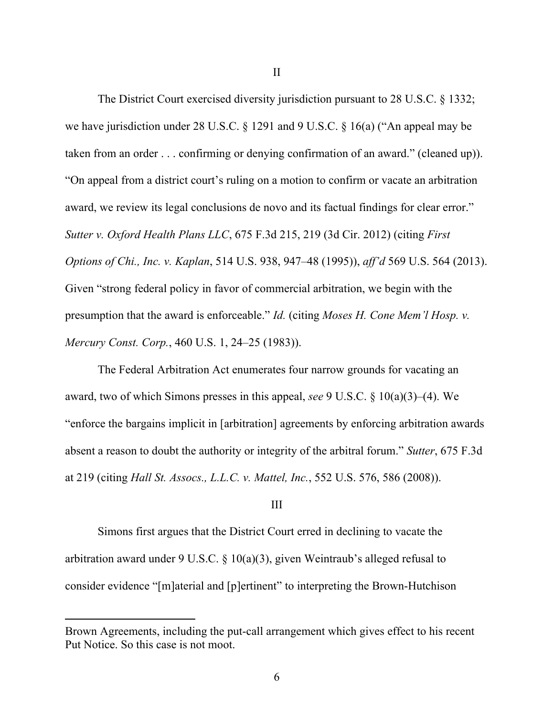The District Court exercised diversity jurisdiction pursuant to 28 U.S.C. § 1332; we have jurisdiction under 28 U.S.C. § 1291 and 9 U.S.C. § 16(a) ("An appeal may be taken from an order . . . confirming or denying confirmation of an award." (cleaned up)). "On appeal from a district court's ruling on a motion to confirm or vacate an arbitration award, we review its legal conclusions de novo and its factual findings for clear error." *Sutter v. Oxford Health Plans LLC*, 675 F.3d 215, 219 (3d Cir. 2012) (citing *First Options of Chi., Inc. v. Kaplan*, 514 U.S. 938, 947–48 (1995)), *aff'd* 569 U.S. 564 (2013). Given "strong federal policy in favor of commercial arbitration, we begin with the presumption that the award is enforceable." *Id.* (citing *Moses H. Cone Mem'l Hosp. v. Mercury Const. Corp.*, 460 U.S. 1, 24–25 (1983)).

The Federal Arbitration Act enumerates four narrow grounds for vacating an award, two of which Simons presses in this appeal, *see* 9 U.S.C. § 10(a)(3)–(4). We "enforce the bargains implicit in [arbitration] agreements by enforcing arbitration awards absent a reason to doubt the authority or integrity of the arbitral forum." *Sutter*, 675 F.3d at 219 (citing *Hall St. Assocs., L.L.C. v. Mattel, Inc.*, 552 U.S. 576, 586 (2008)).

### III

Simons first argues that the District Court erred in declining to vacate the arbitration award under 9 U.S.C. § 10(a)(3), given Weintraub's alleged refusal to consider evidence "[m]aterial and [p]ertinent" to interpreting the Brown-Hutchison

Brown Agreements, including the put-call arrangement which gives effect to his recent Put Notice. So this case is not moot.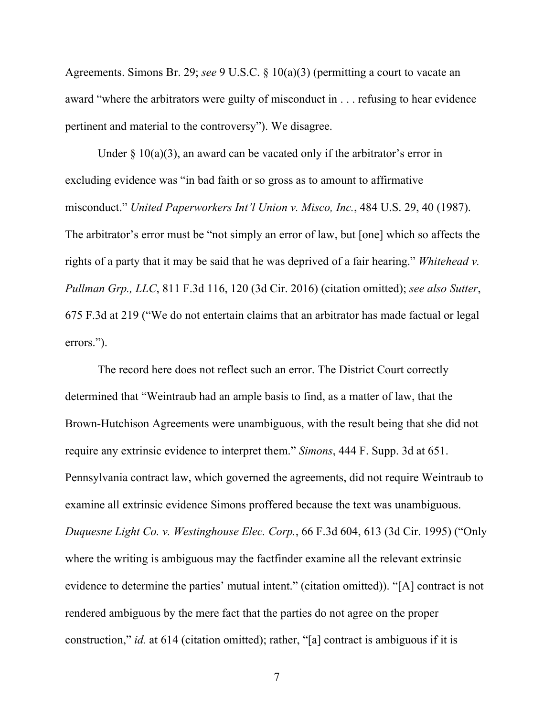Agreements. Simons Br. 29; *see* 9 U.S.C. § 10(a)(3) (permitting a court to vacate an award "where the arbitrators were guilty of misconduct in . . . refusing to hear evidence pertinent and material to the controversy"). We disagree.

Under  $\S 10(a)(3)$ , an award can be vacated only if the arbitrator's error in excluding evidence was "in bad faith or so gross as to amount to affirmative misconduct." *United Paperworkers Int'l Union v. Misco, Inc.*, 484 U.S. 29, 40 (1987). The arbitrator's error must be "not simply an error of law, but [one] which so affects the rights of a party that it may be said that he was deprived of a fair hearing." *Whitehead v. Pullman Grp., LLC*, 811 F.3d 116, 120 (3d Cir. 2016) (citation omitted); *see also Sutter*, 675 F.3d at 219 ("We do not entertain claims that an arbitrator has made factual or legal errors.").

The record here does not reflect such an error. The District Court correctly determined that "Weintraub had an ample basis to find, as a matter of law, that the Brown-Hutchison Agreements were unambiguous, with the result being that she did not require any extrinsic evidence to interpret them." *Simons*, 444 F. Supp. 3d at 651. Pennsylvania contract law, which governed the agreements, did not require Weintraub to examine all extrinsic evidence Simons proffered because the text was unambiguous. *Duquesne Light Co. v. Westinghouse Elec. Corp.*, 66 F.3d 604, 613 (3d Cir. 1995) ("Only where the writing is ambiguous may the factfinder examine all the relevant extrinsic evidence to determine the parties' mutual intent." (citation omitted)). "[A] contract is not rendered ambiguous by the mere fact that the parties do not agree on the proper construction," *id.* at 614 (citation omitted); rather, "[a] contract is ambiguous if it is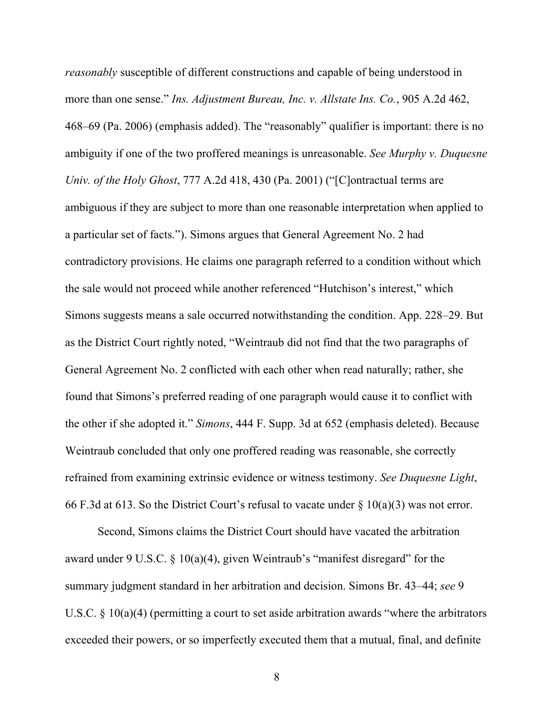*reasonably* susceptible of different constructions and capable of being understood in more than one sense." *Ins. Adjustment Bureau, Inc. v. Allstate Ins. Co.*, 905 A.2d 462, 468–69 (Pa. 2006) (emphasis added). The "reasonably" qualifier is important: there is no ambiguity if one of the two proffered meanings is unreasonable. *See Murphy v. Duquesne Univ. of the Holy Ghost*, 777 A.2d 418, 430 (Pa. 2001) ("[C]ontractual terms are ambiguous if they are subject to more than one reasonable interpretation when applied to a particular set of facts."). Simons argues that General Agreement No. 2 had contradictory provisions. He claims one paragraph referred to a condition without which the sale would not proceed while another referenced "Hutchison's interest," which Simons suggests means a sale occurred notwithstanding the condition. App. 228–29. But as the District Court rightly noted, "Weintraub did not find that the two paragraphs of General Agreement No. 2 conflicted with each other when read naturally; rather, she found that Simons's preferred reading of one paragraph would cause it to conflict with the other if she adopted it." *Simons*, 444 F. Supp. 3d at 652 (emphasis deleted). Because Weintraub concluded that only one proffered reading was reasonable, she correctly refrained from examining extrinsic evidence or witness testimony. *See Duquesne Light*, 66 F.3d at 613. So the District Court's refusal to vacate under  $\S 10(a)(3)$  was not error.

Second, Simons claims the District Court should have vacated the arbitration award under 9 U.S.C. § 10(a)(4), given Weintraub's "manifest disregard" for the summary judgment standard in her arbitration and decision. Simons Br. 43–44; *see* 9 U.S.C.  $\S$  10(a)(4) (permitting a court to set aside arbitration awards "where the arbitrators exceeded their powers, or so imperfectly executed them that a mutual, final, and definite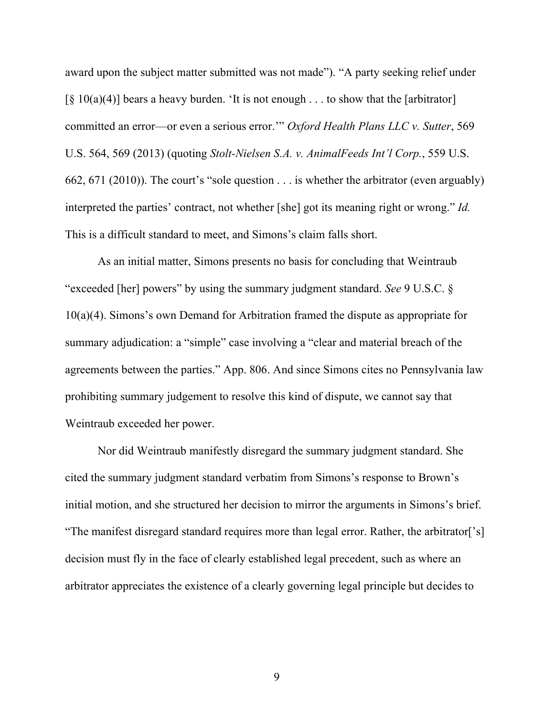award upon the subject matter submitted was not made"). "A party seeking relief under  $\lceil \S 10(a)(4) \rceil$  bears a heavy burden. 'It is not enough . . . to show that the [arbitrator] committed an error—or even a serious error.'" *Oxford Health Plans LLC v. Sutter*, 569 U.S. 564, 569 (2013) (quoting *Stolt-Nielsen S.A. v. AnimalFeeds Int'l Corp.*, 559 U.S. 662, 671 (2010)). The court's "sole question . . . is whether the arbitrator (even arguably) interpreted the parties' contract, not whether [she] got its meaning right or wrong." *Id.* This is a difficult standard to meet, and Simons's claim falls short.

As an initial matter, Simons presents no basis for concluding that Weintraub "exceeded [her] powers" by using the summary judgment standard. *See* 9 U.S.C. § 10(a)(4). Simons's own Demand for Arbitration framed the dispute as appropriate for summary adjudication: a "simple" case involving a "clear and material breach of the agreements between the parties." App. 806. And since Simons cites no Pennsylvania law prohibiting summary judgement to resolve this kind of dispute, we cannot say that Weintraub exceeded her power.

Nor did Weintraub manifestly disregard the summary judgment standard. She cited the summary judgment standard verbatim from Simons's response to Brown's initial motion, and she structured her decision to mirror the arguments in Simons's brief. "The manifest disregard standard requires more than legal error. Rather, the arbitrator['s] decision must fly in the face of clearly established legal precedent, such as where an arbitrator appreciates the existence of a clearly governing legal principle but decides to